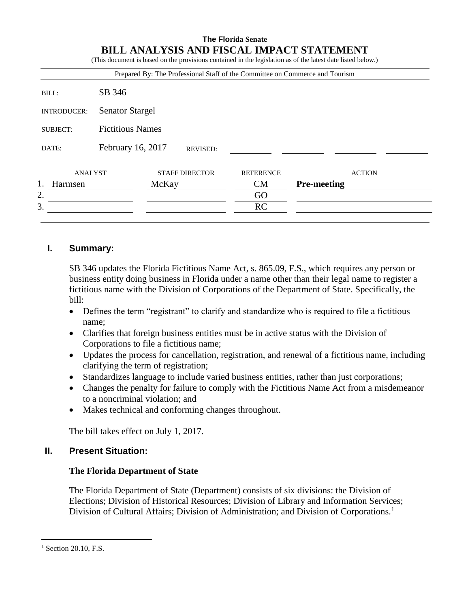# **The Florida Senate BILL ANALYSIS AND FISCAL IMPACT STATEMENT**

(This document is based on the provisions contained in the legislation as of the latest date listed below.)

|                    |                         | Prepared By: The Professional Staff of the Committee on Commerce and Tourism |                  |                    |
|--------------------|-------------------------|------------------------------------------------------------------------------|------------------|--------------------|
| BILL:              | SB 346                  |                                                                              |                  |                    |
| <b>INTRODUCER:</b> | <b>Senator Stargel</b>  |                                                                              |                  |                    |
| <b>SUBJECT:</b>    | <b>Fictitious Names</b> |                                                                              |                  |                    |
| DATE:              | February 16, 2017       | <b>REVISED:</b>                                                              |                  |                    |
| ANALYST            |                         | <b>STAFF DIRECTOR</b>                                                        | <b>REFERENCE</b> | <b>ACTION</b>      |
| Harmsen            |                         | McKay                                                                        | CM               | <b>Pre-meeting</b> |
| 2.                 |                         |                                                                              | GO               |                    |
| 3.                 |                         |                                                                              | RC               |                    |

# **I. Summary:**

SB 346 updates the Florida Fictitious Name Act, s. 865.09, F.S., which requires any person or business entity doing business in Florida under a name other than their legal name to register a fictitious name with the Division of Corporations of the Department of State. Specifically, the bill:

- Defines the term "registrant" to clarify and standardize who is required to file a fictitious name;
- Clarifies that foreign business entities must be in active status with the Division of Corporations to file a fictitious name;
- Updates the process for cancellation, registration, and renewal of a fictitious name, including clarifying the term of registration;
- Standardizes language to include varied business entities, rather than just corporations;
- Changes the penalty for failure to comply with the Fictitious Name Act from a misdemeanor to a noncriminal violation; and
- Makes technical and conforming changes throughout.

The bill takes effect on July 1, 2017.

# **II. Present Situation:**

## **The Florida Department of State**

The Florida Department of State (Department) consists of six divisions: the Division of Elections; Division of Historical Resources; Division of Library and Information Services; Division of Cultural Affairs; Division of Administration; and Division of Corporations.<sup>1</sup>

 $\overline{a}$  $<sup>1</sup>$  Section 20.10, F.S.</sup>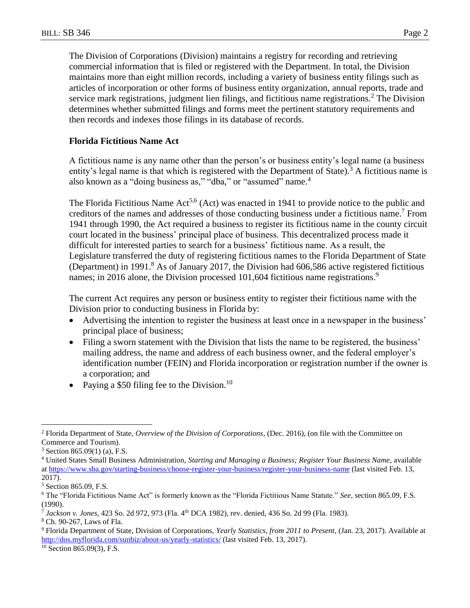The Division of Corporations (Division) maintains a registry for recording and retrieving commercial information that is filed or registered with the Department. In total, the Division maintains more than eight million records, including a variety of business entity filings such as articles of incorporation or other forms of business entity organization, annual reports, trade and service mark registrations, judgment lien filings, and fictitious name registrations.<sup>2</sup> The Division determines whether submitted filings and forms meet the pertinent statutory requirements and then records and indexes those filings in its database of records.

### **Florida Fictitious Name Act**

A fictitious name is any name other than the person's or business entity's legal name (a business entity's legal name is that which is registered with the Department of State).<sup>3</sup> A fictitious name is also known as a "doing business as," "dba," or "assumed" name.<sup>4</sup>

The Florida Fictitious Name  $Act<sup>5,6</sup> (Act)$  was enacted in 1941 to provide notice to the public and creditors of the names and addresses of those conducting business under a fictitious name.<sup>7</sup> From 1941 through 1990, the Act required a business to register its fictitious name in the county circuit court located in the business' principal place of business. This decentralized process made it difficult for interested parties to search for a business' fictitious name. As a result, the Legislature transferred the duty of registering fictitious names to the Florida Department of State (Department) in 1991.<sup>8</sup> As of January 2017, the Division had  $606,586$  active registered fictitious names; in 2016 alone, the Division processed 101,604 fictitious name registrations.<sup>9</sup>

The current Act requires any person or business entity to register their fictitious name with the Division prior to conducting business in Florida by:

- Advertising the intention to register the business at least once in a newspaper in the business' principal place of business;
- Filing a sworn statement with the Division that lists the name to be registered, the business' mailing address, the name and address of each business owner, and the federal employer's identification number (FEIN) and Florida incorporation or registration number if the owner is a corporation; and
- Paying a \$50 filing fee to the Division.<sup>10</sup>

<sup>2</sup> Florida Department of State, *Overview of the Division of Corporations*, (Dec. 2016), (on file with the Committee on Commerce and Tourism).

 $3$  Section 865.09(1) (a), F.S.

<sup>4</sup> United States Small Business Administration, *Starting and Managing a Business; Register Your Business Name*, available a[t https://www.sba.gov/starting-business/choose-register-your-business/register-your-business-name](https://www.sba.gov/starting-business/choose-register-your-business/register-your-business-name) (last visited Feb. 13, 2017).

<sup>5</sup> Section 865.09, F.S.

<sup>6</sup> The "Florida Fictitious Name Act" is formerly known as the "Florida Fictitious Name Statute." *See*, section 865.09, F.S. (1990).

<sup>7</sup> *Jackson v. Jones*, 423 So. 2d 972, 973 (Fla. 4th DCA 1982), rev. denied, 436 So. 2d 99 (Fla. 1983).

<sup>8</sup> Ch. 90-267, Laws of Fla.

<sup>9</sup> Florida Department of State, Division of Corporations, *Yearly Statistics, from 2011 to Present*, (Jan. 23, 2017). Available at <http://dos.myflorida.com/sunbiz/about-us/yearly-statistics/> (last visited Feb. 13, 2017).

 $10$  Section 865.09(3), F.S.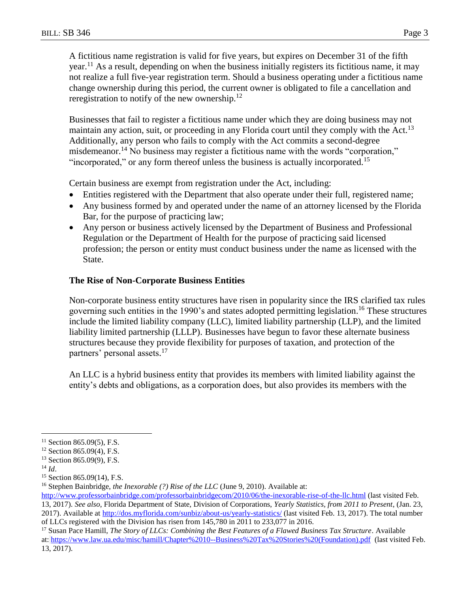A fictitious name registration is valid for five years, but expires on December 31 of the fifth year.<sup>11</sup> As a result, depending on when the business initially registers its fictitious name, it may not realize a full five-year registration term. Should a business operating under a fictitious name change ownership during this period, the current owner is obligated to file a cancellation and reregistration to notify of the new ownership. $^{12}$ 

Businesses that fail to register a fictitious name under which they are doing business may not maintain any action, suit, or proceeding in any Florida court until they comply with the Act.<sup>13</sup> Additionally, any person who fails to comply with the Act commits a second-degree misdemeanor.<sup>14</sup> No business may register a fictitious name with the words "corporation," "incorporated," or any form thereof unless the business is actually incorporated.<sup>15</sup>

Certain business are exempt from registration under the Act, including:

- Entities registered with the Department that also operate under their full, registered name;
- Any business formed by and operated under the name of an attorney licensed by the Florida Bar, for the purpose of practicing law;
- Any person or business actively licensed by the Department of Business and Professional Regulation or the Department of Health for the purpose of practicing said licensed profession; the person or entity must conduct business under the name as licensed with the State.

#### **The Rise of Non-Corporate Business Entities**

Non-corporate business entity structures have risen in popularity since the IRS clarified tax rules governing such entities in the 1990's and states adopted permitting legislation. <sup>16</sup> These structures include the limited liability company (LLC), limited liability partnership (LLP), and the limited liability limited partnership (LLLP). Businesses have begun to favor these alternate business structures because they provide flexibility for purposes of taxation, and protection of the partners' personal assets.<sup>17</sup>

An LLC is a hybrid business entity that provides its members with limited liability against the entity's debts and obligations, as a corporation does, but also provides its members with the

 $^{14}$  *Id.* 

 $11$  Section 865.09(5), F.S.

<sup>12</sup> Section 865.09(4), F.S.

<sup>13</sup> Section 865.09(9), F.S.

<sup>15</sup> Section 865.09(14), F.S.

<sup>16</sup> Stephen Bainbridge, *the Inexorable (?) Rise of the LLC* (June 9, 2010). Available at:

<http://www.professorbainbridge.com/professorbainbridgecom/2010/06/the-inexorable-rise-of-the-llc.html> (last visited Feb. 13, 2017). *See also*, Florida Department of State, Division of Corporations, *Yearly Statistics, from 2011 to Present*, (Jan. 23, 2017). Available at<http://dos.myflorida.com/sunbiz/about-us/yearly-statistics/> (last visited Feb. 13, 2017). The total number of LLCs registered with the Division has risen from 145,780 in 2011 to 233,077 in 2016.

<sup>17</sup> Susan Pace Hamill, *The Story of LLCs: Combining the Best Features of a Flawed Business Tax Structure*. Available at: [https://www.law.ua.edu/misc/hamill/Chapter%2010--Business%20Tax%20Stories%20\(Foundation\).pdf](https://www.law.ua.edu/misc/hamill/Chapter%2010--Business%20Tax%20Stories%20(Foundation).pdf) (last visited Feb. 13, 2017).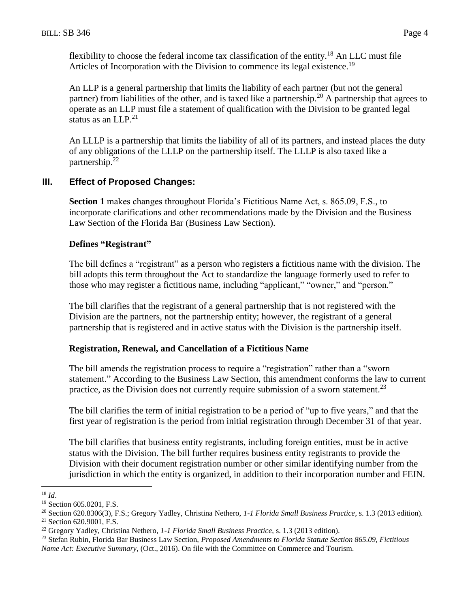flexibility to choose the federal income tax classification of the entity.<sup>18</sup> An LLC must file Articles of Incorporation with the Division to commence its legal existence.<sup>19</sup>

An LLP is a general partnership that limits the liability of each partner (but not the general partner) from liabilities of the other, and is taxed like a partnership.<sup>20</sup> A partnership that agrees to operate as an LLP must file a statement of qualification with the Division to be granted legal status as an  $LLP<sup>21</sup>$ 

An LLLP is a partnership that limits the liability of all of its partners, and instead places the duty of any obligations of the LLLP on the partnership itself. The LLLP is also taxed like a partnership.<sup>22</sup>

# **III. Effect of Proposed Changes:**

**Section 1** makes changes throughout Florida's Fictitious Name Act, s. 865.09, F.S., to incorporate clarifications and other recommendations made by the Division and the Business Law Section of the Florida Bar (Business Law Section).

#### **Defines "Registrant"**

The bill defines a "registrant" as a person who registers a fictitious name with the division. The bill adopts this term throughout the Act to standardize the language formerly used to refer to those who may register a fictitious name, including "applicant," "owner," and "person."

The bill clarifies that the registrant of a general partnership that is not registered with the Division are the partners, not the partnership entity; however, the registrant of a general partnership that is registered and in active status with the Division is the partnership itself.

## **Registration, Renewal, and Cancellation of a Fictitious Name**

The bill amends the registration process to require a "registration" rather than a "sworn statement." According to the Business Law Section, this amendment conforms the law to current practice, as the Division does not currently require submission of a sworn statement.<sup>23</sup>

The bill clarifies the term of initial registration to be a period of "up to five years," and that the first year of registration is the period from initial registration through December 31 of that year.

The bill clarifies that business entity registrants, including foreign entities, must be in active status with the Division. The bill further requires business entity registrants to provide the Division with their document registration number or other similar identifying number from the jurisdiction in which the entity is organized, in addition to their incorporation number and FEIN.

<sup>18</sup> *Id*.

<sup>19</sup> Section 605.0201, F.S.

<sup>20</sup> Section 620.8306(3), F.S.; Gregory Yadley, Christina Nethero, *1-1 Florida Small Business Practice,* s. 1.3 (2013 edition).

<sup>21</sup> Section 620.9001, F.S.

<sup>22</sup> Gregory Yadley, Christina Nethero, *1-1 Florida Small Business Practice*, s. 1.3 (2013 edition).

<sup>23</sup> Stefan Rubin, Florida Bar Business Law Section, *Proposed Amendments to Florida Statute Section 865.09, Fictitious Name Act: Executive Summary*, (Oct., 2016). On file with the Committee on Commerce and Tourism.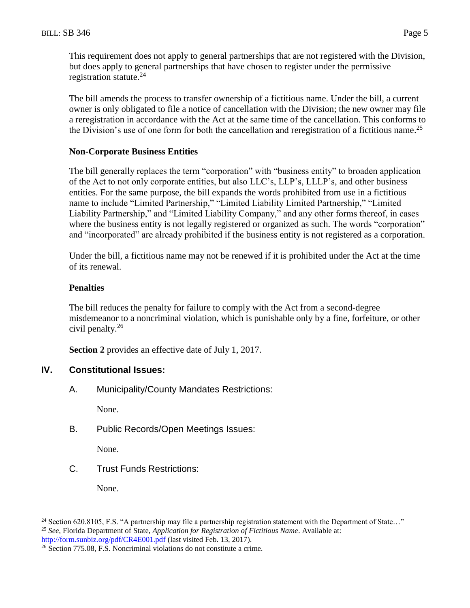This requirement does not apply to general partnerships that are not registered with the Division, but does apply to general partnerships that have chosen to register under the permissive registration statute.<sup>24</sup>

The bill amends the process to transfer ownership of a fictitious name. Under the bill, a current owner is only obligated to file a notice of cancellation with the Division; the new owner may file a reregistration in accordance with the Act at the same time of the cancellation. This conforms to the Division's use of one form for both the cancellation and reregistration of a fictitious name.<sup>25</sup>

# **Non-Corporate Business Entities**

The bill generally replaces the term "corporation" with "business entity" to broaden application of the Act to not only corporate entities, but also LLC's, LLP's, LLLP's, and other business entities. For the same purpose, the bill expands the words prohibited from use in a fictitious name to include "Limited Partnership," "Limited Liability Limited Partnership," "Limited Liability Partnership," and "Limited Liability Company," and any other forms thereof, in cases where the business entity is not legally registered or organized as such. The words "corporation" and "incorporated" are already prohibited if the business entity is not registered as a corporation.

Under the bill, a fictitious name may not be renewed if it is prohibited under the Act at the time of its renewal.

# **Penalties**

The bill reduces the penalty for failure to comply with the Act from a second-degree misdemeanor to a noncriminal violation, which is punishable only by a fine, forfeiture, or other civil penalty.<sup>26</sup>

**Section 2** provides an effective date of July 1, 2017.

# **IV. Constitutional Issues:**

A. Municipality/County Mandates Restrictions:

None.

B. Public Records/Open Meetings Issues:

None.

C. Trust Funds Restrictions:

None.

<sup>&</sup>lt;sup>24</sup> Section 620.8105, F.S. "A partnership may file a partnership registration statement with the Department of State..." <sup>25</sup> *See*, Florida Department of State, *Application for Registration of Fictitious Name*. Available at: <http://form.sunbiz.org/pdf/CR4E001.pdf> (last visited Feb. 13, 2017).

 $\frac{26}{26}$  Section 775.08, F.S. Noncriminal violations do not constitute a crime.